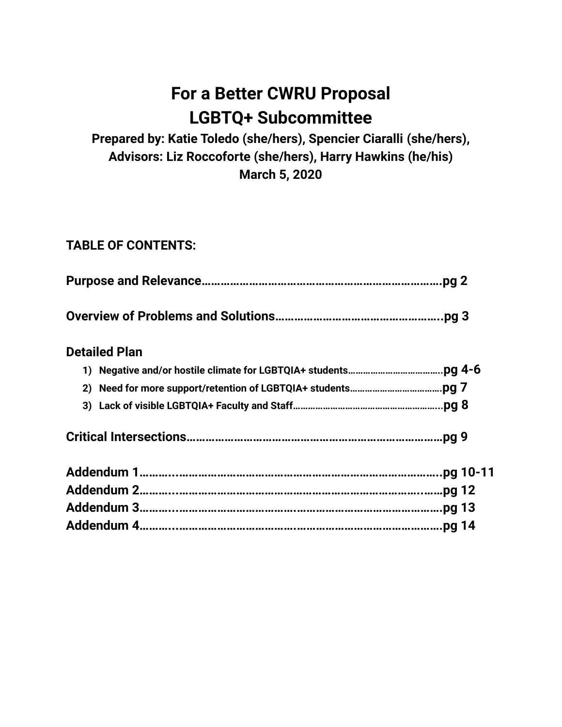# **For a Better CWRU Proposal LGBTQ+ Subcommittee**

**Prepared by: Katie Toledo (she/hers), Spencier Ciaralli (she/hers), Advisors: Liz Roccoforte (she/hers), Harry Hawkins (he/his) March 5, 2020**

# **TABLE OF CONTENTS:**

|                      | .pg $2$ |
|----------------------|---------|
|                      |         |
| <b>Detailed Plan</b> |         |
|                      |         |
| 2)                   |         |
|                      |         |
|                      | pg 9.   |
|                      |         |
|                      |         |
|                      |         |
|                      |         |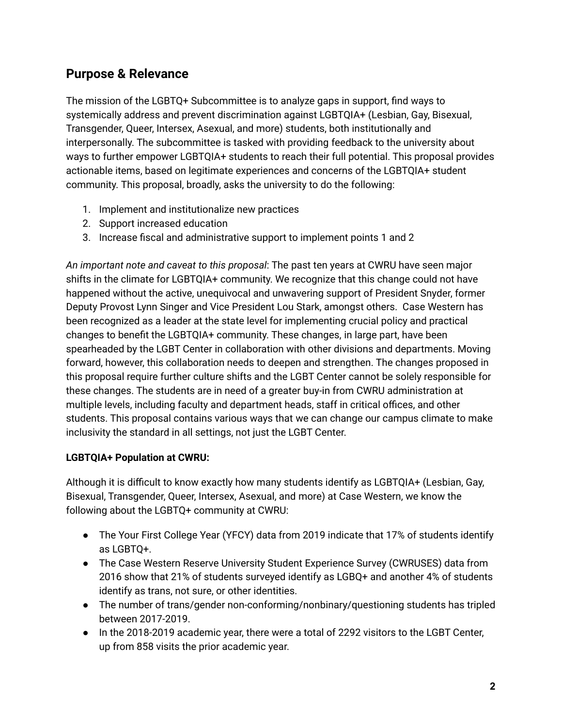# **Purpose & Relevance**

The mission of the LGBTQ+ Subcommittee is to analyze gaps in support, find ways to systemically address and prevent discrimination against LGBTQIA+ (Lesbian, Gay, Bisexual, Transgender, Queer, Intersex, Asexual, and more) students, both institutionally and interpersonally. The subcommittee is tasked with providing feedback to the university about ways to further empower LGBTQIA+ students to reach their full potential. This proposal provides actionable items, based on legitimate experiences and concerns of the LGBTQIA+ student community. This proposal, broadly, asks the university to do the following:

- 1. Implement and institutionalize new practices
- 2. Support increased education
- 3. Increase fiscal and administrative support to implement points 1 and 2

*An important note and caveat to this proposal*: The past ten years at CWRU have seen major shifts in the climate for LGBTQIA+ community. We recognize that this change could not have happened without the active, unequivocal and unwavering support of President Snyder, former Deputy Provost Lynn Singer and Vice President Lou Stark, amongst others. Case Western has been recognized as a leader at the state level for implementing crucial policy and practical changes to benefit the LGBTQIA+ community. These changes, in large part, have been spearheaded by the LGBT Center in collaboration with other divisions and departments. Moving forward, however, this collaboration needs to deepen and strengthen. The changes proposed in this proposal require further culture shifts and the LGBT Center cannot be solely responsible for these changes. The students are in need of a greater buy-in from CWRU administration at multiple levels, including faculty and department heads, staff in critical offices, and other students. This proposal contains various ways that we can change our campus climate to make inclusivity the standard in all settings, not just the LGBT Center.

## **LGBTQIA+ Population at CWRU:**

Although it is difficult to know exactly how many students identify as LGBTQIA+ (Lesbian, Gay, Bisexual, Transgender, Queer, Intersex, Asexual, and more) at Case Western, we know the following about the LGBTQ+ community at CWRU:

- The Your First College Year (YFCY) data from 2019 indicate that 17% of students identify as LGBTQ+.
- The Case Western Reserve University Student Experience Survey (CWRUSES) data from 2016 show that 21% of students surveyed identify as LGBQ+ and another 4% of students identify as trans, not sure, or other identities.
- The number of trans/gender non-conforming/nonbinary/questioning students has tripled between 2017-2019.
- In the 2018-2019 academic year, there were a total of 2292 visitors to the LGBT Center, up from 858 visits the prior academic year.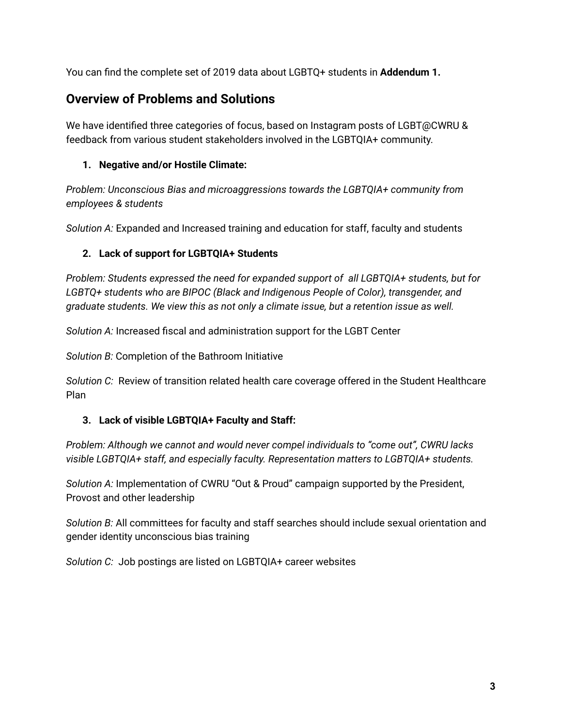You can find the complete set of 2019 data about LGBTQ+ students in **Addendum 1.**

# **Overview of Problems and Solutions**

We have identified three categories of focus, based on Instagram posts of LGBT@CWRU & feedback from various student stakeholders involved in the LGBTQIA+ community.

## **1. Negative and/or Hostile Climate:**

*Problem: Unconscious Bias and microaggressions towards the LGBTQIA+ community from employees & students*

*Solution A:* Expanded and Increased training and education for staff, faculty and students

## **2. Lack of support for LGBTQIA+ Students**

*Problem: Students expressed the need for expanded support of all LGBTQIA+ students, but for LGBTQ+ students who are BIPOC (Black and Indigenous People of Color), transgender, and graduate students. We view this as not only a climate issue, but a retention issue as well.*

*Solution A:* Increased fiscal and administration support for the LGBT Center

*Solution B:* Completion of the Bathroom Initiative

*Solution C:* Review of transition related health care coverage offered in the Student Healthcare Plan

#### **3. Lack of visible LGBTQIA+ Faculty and Staff:**

*Problem: Although we cannot and would never compel individuals to "come out", CWRU lacks visible LGBTQIA+ staff, and especially faculty. Representation matters to LGBTQIA+ students.*

*Solution A:* Implementation of CWRU "Out & Proud" campaign supported by the President, Provost and other leadership

*Solution B:* All committees for faculty and staff searches should include sexual orientation and gender identity unconscious bias training

*Solution C:* Job postings are listed on LGBTQIA+ career websites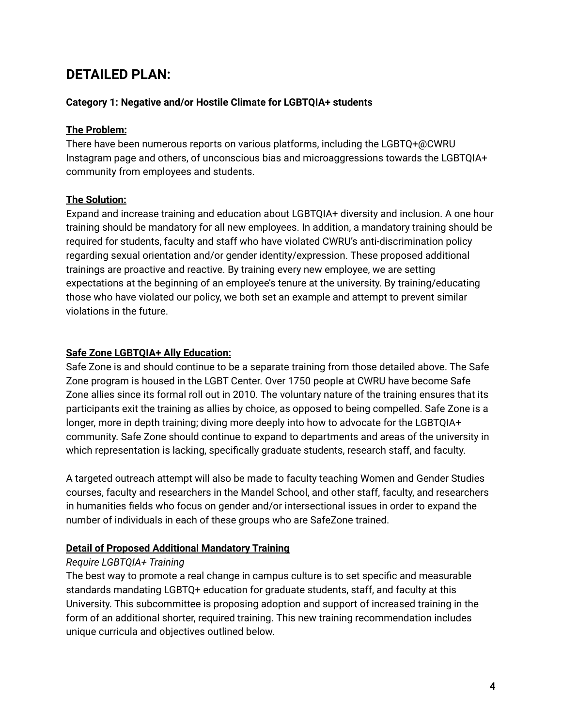# **DETAILED PLAN:**

#### **Category 1: Negative and/or Hostile Climate for LGBTQIA+ students**

#### **The Problem:**

There have been numerous reports on various platforms, including the LGBTQ+@CWRU Instagram page and others, of unconscious bias and microaggressions towards the LGBTQIA+ community from employees and students.

#### **The Solution:**

Expand and increase training and education about LGBTQIA+ diversity and inclusion. A one hour training should be mandatory for all new employees. In addition, a mandatory training should be required for students, faculty and staff who have violated CWRU's anti-discrimination policy regarding sexual orientation and/or gender identity/expression. These proposed additional trainings are proactive and reactive. By training every new employee, we are setting expectations at the beginning of an employee's tenure at the university. By training/educating those who have violated our policy, we both set an example and attempt to prevent similar violations in the future.

#### **Safe Zone LGBTQIA+ Ally Education:**

Safe Zone is and should continue to be a separate training from those detailed above. The Safe Zone program is housed in the LGBT Center. Over 1750 people at CWRU have become Safe Zone allies since its formal roll out in 2010. The voluntary nature of the training ensures that its participants exit the training as allies by choice, as opposed to being compelled. Safe Zone is a longer, more in depth training; diving more deeply into how to advocate for the LGBTQIA+ community. Safe Zone should continue to expand to departments and areas of the university in which representation is lacking, specifically graduate students, research staff, and faculty.

A targeted outreach attempt will also be made to faculty teaching Women and Gender Studies courses, faculty and researchers in the Mandel School, and other staff, faculty, and researchers in humanities fields who focus on gender and/or intersectional issues in order to expand the number of individuals in each of these groups who are SafeZone trained.

## **Detail of Proposed Additional Mandatory Training**

#### *Require LGBTQIA+ Training*

The best way to promote a real change in campus culture is to set specific and measurable standards mandating LGBTQ+ education for graduate students, staff, and faculty at this University. This subcommittee is proposing adoption and support of increased training in the form of an additional shorter, required training. This new training recommendation includes unique curricula and objectives outlined below.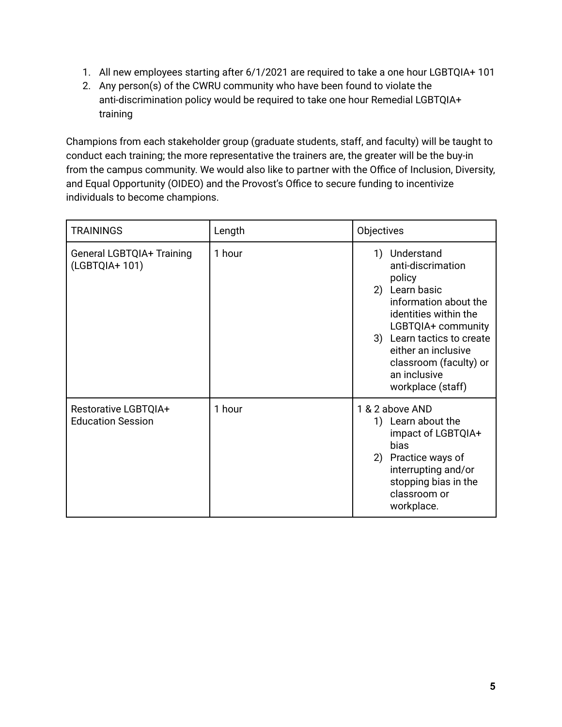- 1. All new employees starting after 6/1/2021 are required to take a one hour LGBTQIA+ 101
- 2. Any person(s) of the CWRU community who have been found to violate the anti-discrimination policy would be required to take one hour Remedial LGBTQIA+ training

Champions from each stakeholder group (graduate students, staff, and faculty) will be taught to conduct each training; the more representative the trainers are, the greater will be the buy-in from the campus community. We would also like to partner with the Office of Inclusion, Diversity, and Equal Opportunity (OIDEO) and the Provost's Office to secure funding to incentivize individuals to become champions.

| <b>TRAININGS</b>                                        | Length | Objectives                                                                                                                                                                                                                                                       |
|---------------------------------------------------------|--------|------------------------------------------------------------------------------------------------------------------------------------------------------------------------------------------------------------------------------------------------------------------|
| <b>General LGBTQIA+ Training</b><br>(LGBTQIA+ 101)      | 1 hour | Understand<br>1)<br>anti-discrimation<br>policy<br>Learn basic<br>2)<br>information about the<br>identities within the<br>LGBTQIA+ community<br>3) Learn tactics to create<br>either an inclusive<br>classroom (faculty) or<br>an inclusive<br>workplace (staff) |
| <b>Restorative LGBTQIA+</b><br><b>Education Session</b> | 1 hour | 1 & 2 above AND<br>Learn about the<br>1)<br>impact of LGBTQIA+<br>bias<br>Practice ways of<br>2)<br>interrupting and/or<br>stopping bias in the<br>classroom or<br>workplace.                                                                                    |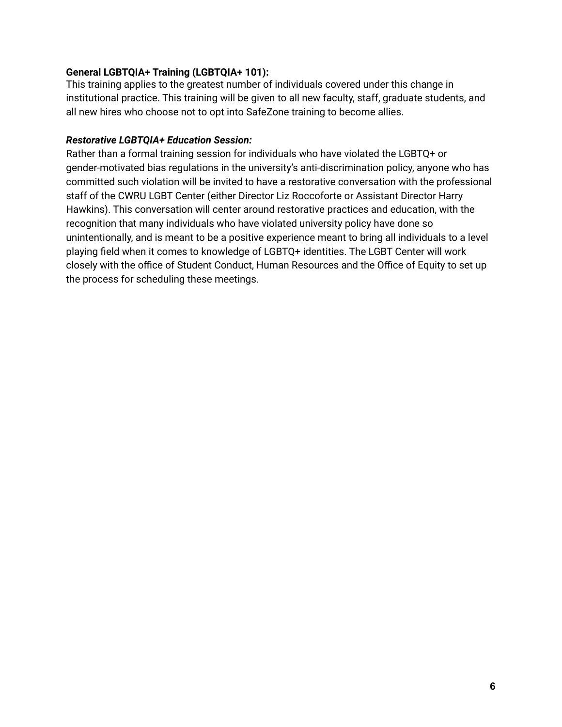#### **General LGBTQIA+ Training (LGBTQIA+ 101):**

This training applies to the greatest number of individuals covered under this change in institutional practice. This training will be given to all new faculty, staff, graduate students, and all new hires who choose not to opt into SafeZone training to become allies.

#### *Restorative LGBTQIA+ Education Session:*

Rather than a formal training session for individuals who have violated the LGBTQ+ or gender-motivated bias regulations in the university's anti-discrimination policy, anyone who has committed such violation will be invited to have a restorative conversation with the professional staff of the CWRU LGBT Center (either Director Liz Roccoforte or Assistant Director Harry Hawkins). This conversation will center around restorative practices and education, with the recognition that many individuals who have violated university policy have done so unintentionally, and is meant to be a positive experience meant to bring all individuals to a level playing field when it comes to knowledge of LGBTQ+ identities. The LGBT Center will work closely with the office of Student Conduct, Human Resources and the Office of Equity to set up the process for scheduling these meetings.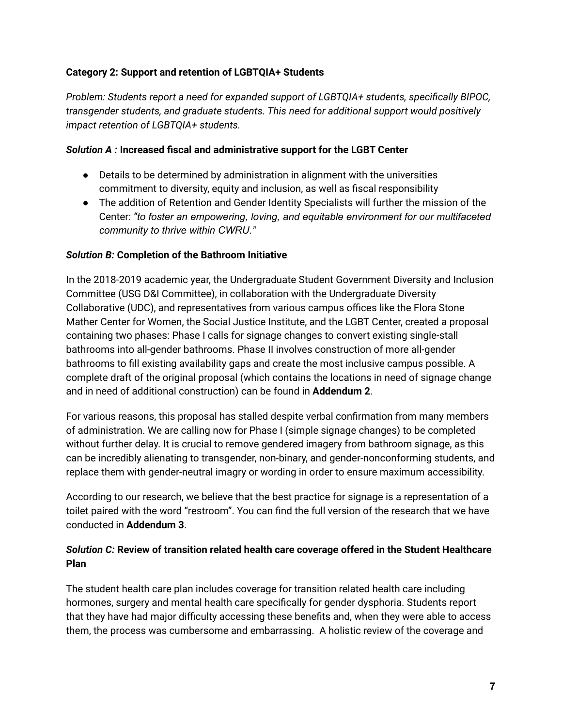#### **Category 2: Support and retention of LGBTQIA+ Students**

*Problem: Students report a need for expanded support of LGBTQIA+ students, specifically BIPOC, transgender students, and graduate students. This need for additional support would positively impact retention of LGBTQIA+ students.*

#### *Solution A :* **Increased fiscal and administrative support for the LGBT Center**

- Details to be determined by administration in alignment with the universities commitment to diversity, equity and inclusion, as well as fiscal responsibility
- The addition of Retention and Gender Identity Specialists will further the mission of the Center: *"to foster an empowering, loving, and equitable environment for our multifaceted community to thrive within CWRU."*

#### *Solution B:* **Completion of the Bathroom Initiative**

In the 2018-2019 academic year, the Undergraduate Student Government Diversity and Inclusion Committee (USG D&I Committee), in collaboration with the Undergraduate Diversity Collaborative (UDC), and representatives from various campus offices like the Flora Stone Mather Center for Women, the Social Justice Institute, and the LGBT Center, created a proposal containing two phases: Phase I calls for signage changes to convert existing single-stall bathrooms into all-gender bathrooms. Phase II involves construction of more all-gender bathrooms to fill existing availability gaps and create the most inclusive campus possible. A complete draft of the original proposal (which contains the locations in need of signage change and in need of additional construction) can be found in **Addendum 2**.

For various reasons, this proposal has stalled despite verbal confirmation from many members of administration. We are calling now for Phase I (simple signage changes) to be completed without further delay. It is crucial to remove gendered imagery from bathroom signage, as this can be incredibly alienating to transgender, non-binary, and gender-nonconforming students, and replace them with gender-neutral imagry or wording in order to ensure maximum accessibility.

According to our research, we believe that the best practice for signage is a representation of a toilet paired with the word "restroom". You can find the full version of the research that we have conducted in **Addendum 3**.

#### *Solution C:* **Review of transition related health care coverage offered in the Student Healthcare Plan**

The student health care plan includes coverage for transition related health care including hormones, surgery and mental health care specifically for gender dysphoria. Students report that they have had major difficulty accessing these benefits and, when they were able to access them, the process was cumbersome and embarrassing. A holistic review of the coverage and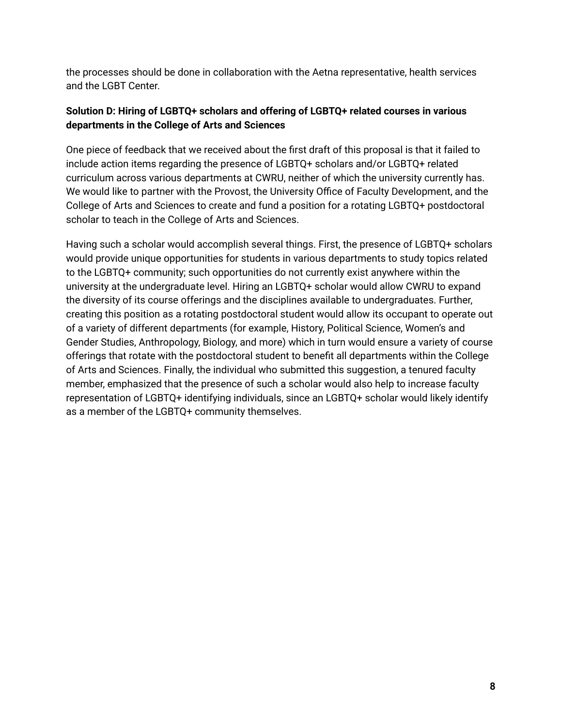the processes should be done in collaboration with the Aetna representative, health services and the LGBT Center.

## **Solution D: Hiring of LGBTQ+ scholars and offering of LGBTQ+ related courses in various departments in the College of Arts and Sciences**

One piece of feedback that we received about the first draft of this proposal is that it failed to include action items regarding the presence of LGBTQ+ scholars and/or LGBTQ+ related curriculum across various departments at CWRU, neither of which the university currently has. We would like to partner with the Provost, the University Office of Faculty Development, and the College of Arts and Sciences to create and fund a position for a rotating LGBTQ+ postdoctoral scholar to teach in the College of Arts and Sciences.

Having such a scholar would accomplish several things. First, the presence of LGBTQ+ scholars would provide unique opportunities for students in various departments to study topics related to the LGBTQ+ community; such opportunities do not currently exist anywhere within the university at the undergraduate level. Hiring an LGBTQ+ scholar would allow CWRU to expand the diversity of its course offerings and the disciplines available to undergraduates. Further, creating this position as a rotating postdoctoral student would allow its occupant to operate out of a variety of different departments (for example, History, Political Science, Women's and Gender Studies, Anthropology, Biology, and more) which in turn would ensure a variety of course offerings that rotate with the postdoctoral student to benefit all departments within the College of Arts and Sciences. Finally, the individual who submitted this suggestion, a tenured faculty member, emphasized that the presence of such a scholar would also help to increase faculty representation of LGBTQ+ identifying individuals, since an LGBTQ+ scholar would likely identify as a member of the LGBTQ+ community themselves.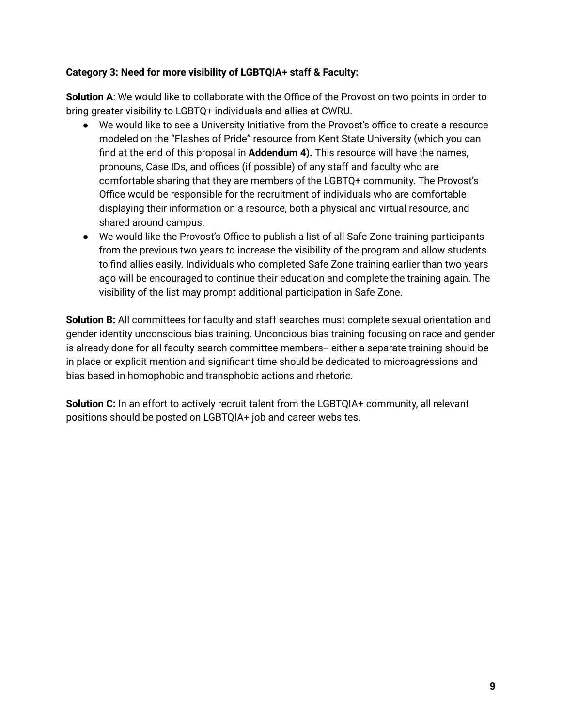#### **Category 3: Need for more visibility of LGBTQIA+ staff & Faculty:**

**Solution A**: We would like to collaborate with the Office of the Provost on two points in order to bring greater visibility to LGBTQ+ individuals and allies at CWRU.

- We would like to see a University Initiative from the Provost's office to create a resource modeled on the "Flashes of Pride" resource from Kent State University (which you can find at the end of this proposal in **Addendum 4).** This resource will have the names, pronouns, Case IDs, and offices (if possible) of any staff and faculty who are comfortable sharing that they are members of the LGBTQ+ community. The Provost's Office would be responsible for the recruitment of individuals who are comfortable displaying their information on a resource, both a physical and virtual resource, and shared around campus.
- We would like the Provost's Office to publish a list of all Safe Zone training participants from the previous two years to increase the visibility of the program and allow students to find allies easily. Individuals who completed Safe Zone training earlier than two years ago will be encouraged to continue their education and complete the training again. The visibility of the list may prompt additional participation in Safe Zone.

**Solution B:** All committees for faculty and staff searches must complete sexual orientation and gender identity unconscious bias training. Unconcious bias training focusing on race and gender is already done for all faculty search committee members-- either a separate training should be in place or explicit mention and significant time should be dedicated to microagressions and bias based in homophobic and transphobic actions and rhetoric.

**Solution C:** In an effort to actively recruit talent from the LGBTQIA+ community, all relevant positions should be posted on LGBTQIA+ job and career websites.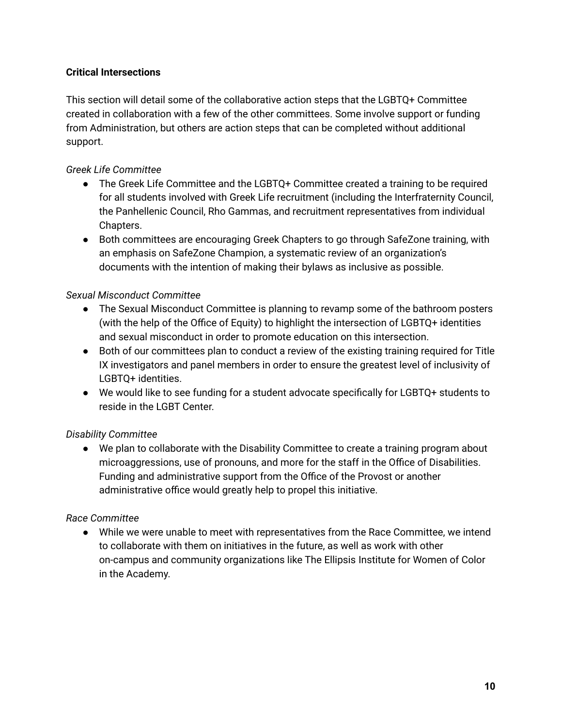#### **Critical Intersections**

This section will detail some of the collaborative action steps that the LGBTQ+ Committee created in collaboration with a few of the other committees. Some involve support or funding from Administration, but others are action steps that can be completed without additional support.

#### *Greek Life Committee*

- The Greek Life Committee and the LGBTQ+ Committee created a training to be required for all students involved with Greek Life recruitment (including the Interfraternity Council, the Panhellenic Council, Rho Gammas, and recruitment representatives from individual Chapters.
- Both committees are encouraging Greek Chapters to go through SafeZone training, with an emphasis on SafeZone Champion, a systematic review of an organization's documents with the intention of making their bylaws as inclusive as possible.

#### *Sexual Misconduct Committee*

- The Sexual Misconduct Committee is planning to revamp some of the bathroom posters (with the help of the Office of Equity) to highlight the intersection of LGBTQ+ identities and sexual misconduct in order to promote education on this intersection.
- Both of our committees plan to conduct a review of the existing training required for Title IX investigators and panel members in order to ensure the greatest level of inclusivity of LGBTQ+ identities.
- We would like to see funding for a student advocate specifically for LGBTQ+ students to reside in the LGBT Center.

## *Disability Committee*

● We plan to collaborate with the Disability Committee to create a training program about microaggressions, use of pronouns, and more for the staff in the Office of Disabilities. Funding and administrative support from the Office of the Provost or another administrative office would greatly help to propel this initiative.

#### *Race Committee*

● While we were unable to meet with representatives from the Race Committee, we intend to collaborate with them on initiatives in the future, as well as work with other on-campus and community organizations like The Ellipsis Institute for Women of Color in the Academy.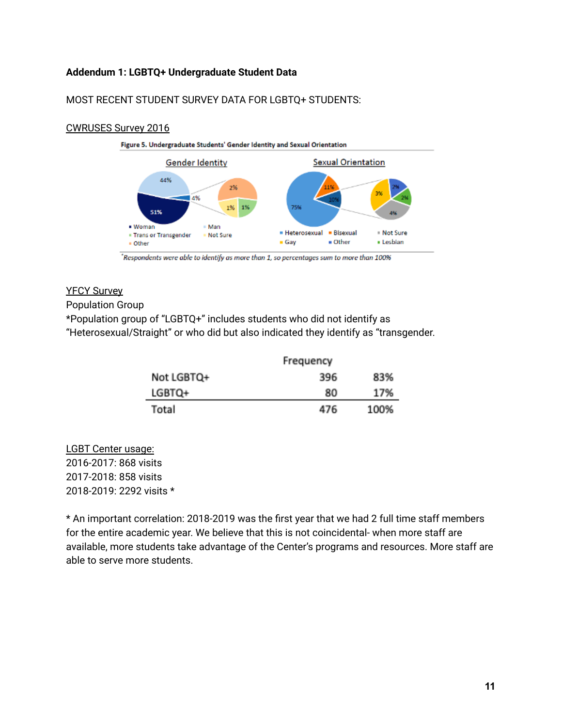#### **Addendum 1: LGBTQ+ Undergraduate Student Data**

#### MOST RECENT STUDENT SURVEY DATA FOR LGBTQ+ STUDENTS:

#### CWRUSES Survey 2016



Respondents were able to identify as more than 1, so percentages sum to more than 100%

#### YFCY Survey

#### Population Group

\*Population group of "LGBTQ+" includes students who did not identify as "Heterosexual/Straight" or who did but also indicated they identify as "transgender.

|            | Frequency |      |
|------------|-----------|------|
| Not LGBTQ+ | 396.      | 83%  |
| LGBTQ+     | 80        | 17%  |
| Total      | 476       | 100% |

LGBT Center usage: 2016-2017: 868 visits 2017-2018: 858 visits 2018-2019: 2292 visits \*

\* An important correlation: 2018-2019 was the first year that we had 2 full time staff members for the entire academic year. We believe that this is not coincidental- when more staff are available, more students take advantage of the Center's programs and resources. More staff are able to serve more students.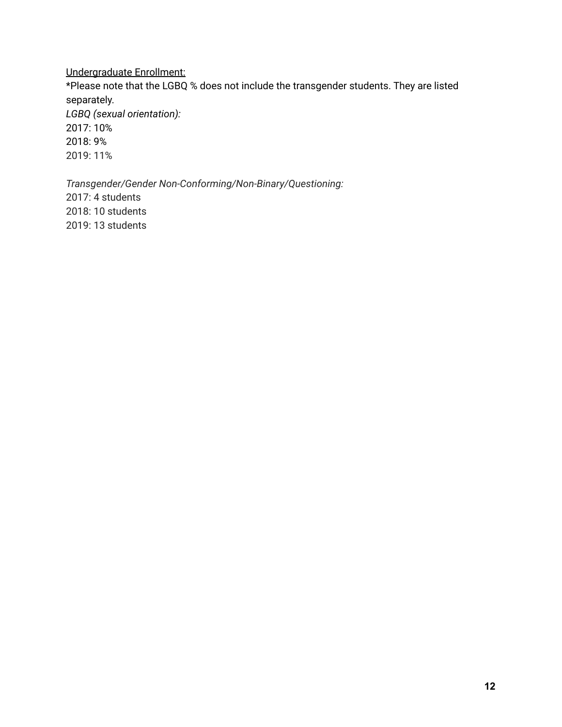#### Undergraduate Enrollment:

\*Please note that the LGBQ % does not include the transgender students. They are listed separately.

*LGBQ (sexual orientation):* 2017: 10% 2018: 9% 2019: 11%

*Transgender/Gender Non-Conforming/Non-Binary/Questioning:* 2017: 4 students 2018: 10 students 2019: 13 students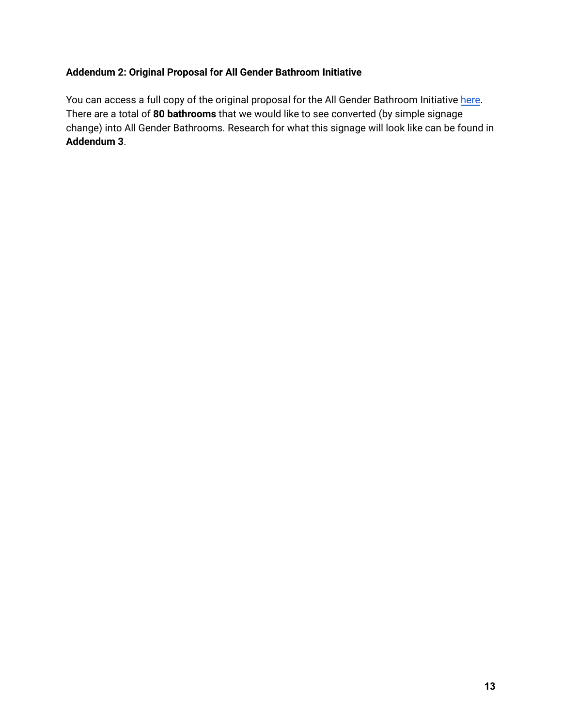## **Addendum 2: Original Proposal for All Gender Bathroom Initiative**

You can access a full copy of the original proposal for the All Gender Bathroom Initiative [here](https://docs.google.com/document/d/1d0PMod8MRl4DnKBsG5AMrxr-XljV0JzdGOkmeMGo4GA/edit?usp=sharing). There are a total of **80 bathrooms** that we would like to see converted (by simple signage change) into All Gender Bathrooms. Research for what this signage will look like can be found in **Addendum 3**.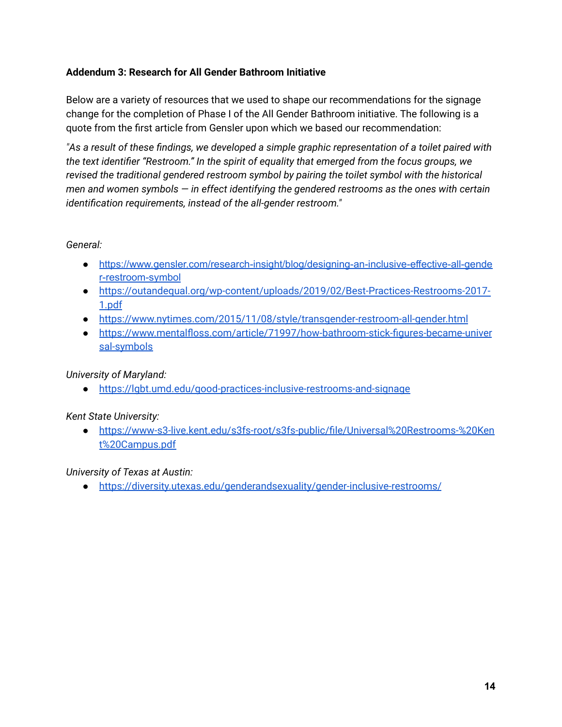#### **Addendum 3: Research for All Gender Bathroom Initiative**

Below are a variety of resources that we used to shape our recommendations for the signage change for the completion of Phase I of the All Gender Bathroom initiative. The following is a quote from the first article from Gensler upon which we based our recommendation:

*"As a result of these findings, we developed a simple graphic representation of a toilet paired with the text identifier "Restroom." In the spirit of equality that emerged from the focus groups, we revised the traditional gendered restroom symbol by pairing the toilet symbol with the historical men and women symbols — in effect identifying the gendered restrooms as the ones with certain identification requirements, instead of the all-gender restroom."*

#### *General:*

- [https://www.gensler.com/research-insight/blog/designing-an-inclusive-effective-all-gende](https://www.gensler.com/research-insight/blog/designing-an-inclusive-effective-all-gender-restroom-symbol) [r-restroom-symbol](https://www.gensler.com/research-insight/blog/designing-an-inclusive-effective-all-gender-restroom-symbol)
- [https://outandequal.org/wp-content/uploads/2019/02/Best-Practices-Restrooms-2017-](https://outandequal.org/wp-content/uploads/2019/02/Best-Practices-Restrooms-2017-1.pdf) [1.pdf](https://outandequal.org/wp-content/uploads/2019/02/Best-Practices-Restrooms-2017-1.pdf)
- <https://www.nytimes.com/2015/11/08/style/transgender-restroom-all-gender.html>
- [https://www.mentalfloss.com/article/71997/how-bathroom-stick-figures-became-univer](https://www.mentalfloss.com/article/71997/how-bathroom-stick-figures-became-universal-symbols) [sal-symbols](https://www.mentalfloss.com/article/71997/how-bathroom-stick-figures-became-universal-symbols)

## *University of Maryland:*

● <https://lgbt.umd.edu/good-practices-inclusive-restrooms-and-signage>

#### *Kent State University:*

● [https://www-s3-live.kent.edu/s3fs-root/s3fs-public/file/Universal%20Restrooms-%20Ken](https://www-s3-live.kent.edu/s3fs-root/s3fs-public/file/Universal%20Restrooms-%20Kent%20Campus.pdf) [t%20Campus.pdf](https://www-s3-live.kent.edu/s3fs-root/s3fs-public/file/Universal%20Restrooms-%20Kent%20Campus.pdf)

#### *University of Texas at Austin:*

● <https://diversity.utexas.edu/genderandsexuality/gender-inclusive-restrooms/>